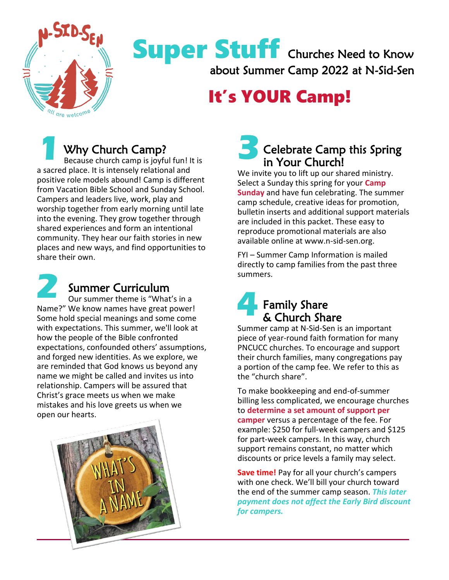

## Super Stuff Churches Need to Know about Summer Camp 2022 at N-Sid-Sen

# It's YOUR Camp!

### Why Church Camp? **1 1 3**<br>Because church camp is joyful fun! It is

Because church camp is joyful fun! It is a sacred place. It is intensely relational and positive role models abound! Camp is different from Vacation Bible School and Sunday School. Campers and leaders live, work, play and worship together from early morning until late into the evening. They grow together through shared experiences and form an intentional community. They hear our faith stories in new places and new ways, and find opportunities to share their own.



### Summer Curriculum

Our summer theme is "What's in a Name?" We know names have great power! Some hold special meanings and some come with expectations. This summer, we'll look at how the people of the Bible confronted expectations, confounded others' assumptions, and forged new identities. As we explore, we are reminded that God knows us beyond any name we might be called and invites us into relationship. Campers will be assured that Christ's grace meets us when we make mistakes and his love greets us when we open our hearts.



### Celebrate Camp this Spring in Your Church!

We invite you to lift up our shared ministry. Select a Sunday this spring for your **Camp Sunday** and have fun celebrating. The summer camp schedule, creative ideas for promotion, bulletin inserts and additional support materials are included in this packet. These easy to reproduce promotional materials are also available online at www.n-sid-sen.org.

FYI – Summer Camp Information is mailed directly to camp families from the past three summers.

#### Family Share & Church Share **4**

Summer camp at N-Sid-Sen is an important piece of year-round faith formation for many PNCUCC churches. To encourage and support their church families, many congregations pay a portion of the camp fee. We refer to this as the "church share".

To make bookkeeping and end-of-summer billing less complicated, we encourage churches to **determine a set amount of support per camper** versus a percentage of the fee. For example: \$250 for full-week campers and \$125 for part-week campers. In this way, church support remains constant, no matter which discounts or price levels a family may select.

**Save time!** Pay for all your church's campers with one check. We'll bill your church toward the end of the summer camp season. *This later payment does not affect the Early Bird discount for campers.*